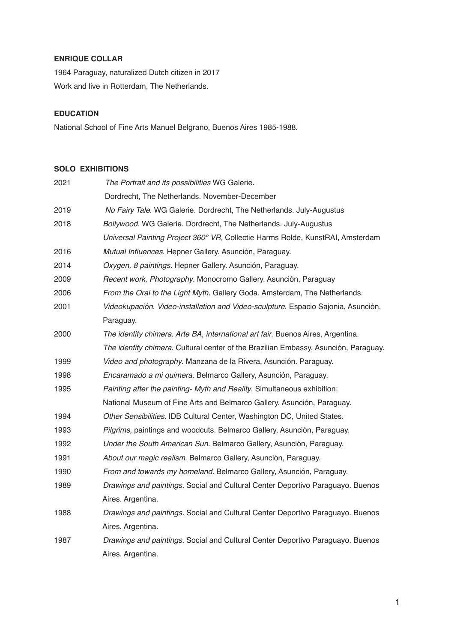# **ENRIQUE COLLAR**

1964 Paraguay, naturalized Dutch citizen in 2017 Work and live in Rotterdam, The Netherlands.

# **EDUCATION**

National School of Fine Arts Manuel Belgrano, Buenos Aires 1985-1988.

# **SOLO EXHIBITIONS**

| 2021 | The Portrait and its possibilities WG Galerie.                                      |
|------|-------------------------------------------------------------------------------------|
|      | Dordrecht, The Netherlands. November-December                                       |
| 2019 | No Fairy Tale. WG Galerie. Dordrecht, The Netherlands. July-Augustus                |
| 2018 | Bollywood. WG Galerie. Dordrecht, The Netherlands. July-Augustus                    |
|      | Universal Painting Project 360° VR, Collectie Harms Rolde, KunstRAI, Amsterdam      |
| 2016 | Mutual Influences. Hepner Gallery. Asunción, Paraguay.                              |
| 2014 | Oxygen, 8 paintings. Hepner Gallery. Asunción, Paraguay.                            |
| 2009 | Recent work, Photography. Monocromo Gallery. Asunción, Paraguay                     |
| 2006 | From the Oral to the Light Myth. Gallery Goda. Amsterdam, The Netherlands.          |
| 2001 | Videokupación. Video-installation and Video-sculpture. Espacio Sajonia, Asunción,   |
|      | Paraguay.                                                                           |
| 2000 | The identity chimera. Arte BA, international art fair. Buenos Aires, Argentina.     |
|      | The identity chimera. Cultural center of the Brazilian Embassy, Asunción, Paraguay. |
| 1999 | Video and photography. Manzana de la Rivera, Asunción. Paraguay.                    |
| 1998 | Encaramado a mi quimera. Belmarco Gallery, Asunción, Paraguay.                      |
| 1995 | Painting after the painting- Myth and Reality. Simultaneous exhibition:             |
|      | National Museum of Fine Arts and Belmarco Gallery. Asunción, Paraguay.              |
| 1994 | Other Sensibilities. IDB Cultural Center, Washington DC, United States.             |
| 1993 | Pilgrims, paintings and woodcuts. Belmarco Gallery, Asunción, Paraguay.             |
| 1992 | Under the South American Sun. Belmarco Gallery, Asunción, Paraguay.                 |
| 1991 | About our magic realism. Belmarco Gallery, Asunción, Paraguay.                      |
| 1990 | From and towards my homeland. Belmarco Gallery, Asunción, Paraguay.                 |
| 1989 | Drawings and paintings. Social and Cultural Center Deportivo Paraguayo. Buenos      |
|      | Aires. Argentina.                                                                   |
| 1988 | Drawings and paintings. Social and Cultural Center Deportivo Paraguayo. Buenos      |
|      | Aires. Argentina.                                                                   |
| 1987 | Drawings and paintings. Social and Cultural Center Deportivo Paraguayo. Buenos      |
|      | Aires. Argentina.                                                                   |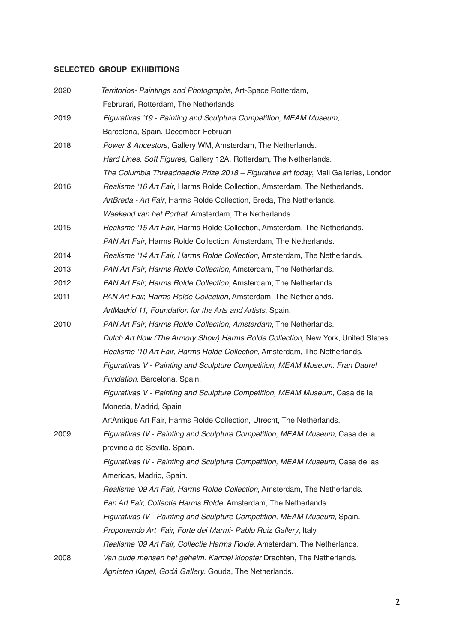# **SELECTED GROUP EXHIBITIONS**

| 2020 | Territorios- Paintings and Photographs, Art-Space Rotterdam,                        |
|------|-------------------------------------------------------------------------------------|
|      | Februrari, Rotterdam, The Netherlands                                               |
| 2019 | Figurativas '19 - Painting and Sculpture Competition, MEAM Museum,                  |
|      | Barcelona, Spain. December-Februari                                                 |
| 2018 | Power & Ancestors, Gallery WM, Amsterdam, The Netherlands.                          |
|      | Hard Lines, Soft Figures, Gallery 12A, Rotterdam, The Netherlands.                  |
|      | The Columbia Threadneedle Prize 2018 - Figurative art today, Mall Galleries, London |
| 2016 | Realisme '16 Art Fair, Harms Rolde Collection, Amsterdam, The Netherlands.          |
|      | ArtBreda - Art Fair, Harms Rolde Collection, Breda, The Netherlands.                |
|      | Weekend van het Portret. Amsterdam, The Netherlands.                                |
| 2015 | Realisme '15 Art Fair, Harms Rolde Collection, Amsterdam, The Netherlands.          |
|      | PAN Art Fair, Harms Rolde Collection, Amsterdam, The Netherlands.                   |
| 2014 | Realisme '14 Art Fair, Harms Rolde Collection, Amsterdam, The Netherlands.          |
| 2013 | PAN Art Fair, Harms Rolde Collection, Amsterdam, The Netherlands.                   |
| 2012 | PAN Art Fair, Harms Rolde Collection, Amsterdam, The Netherlands.                   |
| 2011 | PAN Art Fair, Harms Rolde Collection, Amsterdam, The Netherlands.                   |
|      | ArtMadrid 11, Foundation for the Arts and Artists, Spain.                           |
| 2010 | PAN Art Fair, Harms Rolde Collection, Amsterdam, The Netherlands.                   |
|      | Dutch Art Now (The Armory Show) Harms Rolde Collection, New York, United States.    |
|      | Realisme '10 Art Fair, Harms Rolde Collection, Amsterdam, The Netherlands.          |
|      | Figurativas V - Painting and Sculpture Competition, MEAM Museum. Fran Daurel        |
|      | Fundation, Barcelona, Spain.                                                        |
|      | Figurativas V - Painting and Sculpture Competition, MEAM Museum, Casa de la         |
|      | Moneda, Madrid, Spain                                                               |
|      | ArtAntique Art Fair, Harms Rolde Collection, Utrecht, The Netherlands.              |
| 2009 | Figurativas IV - Painting and Sculpture Competition, MEAM Museum, Casa de la        |
|      | provincia de Sevilla, Spain.                                                        |
|      | Figurativas IV - Painting and Sculpture Competition, MEAM Museum, Casa de las       |
|      | Americas, Madrid, Spain.                                                            |
|      | Realisme '09 Art Fair, Harms Rolde Collection, Amsterdam, The Netherlands.          |
|      | Pan Art Fair, Collectie Harms Rolde. Amsterdam, The Netherlands.                    |
|      | Figurativas IV - Painting and Sculpture Competition, MEAM Museum, Spain.            |
|      | Proponendo Art Fair, Forte dei Marmi- Pablo Ruiz Gallery, Italy.                    |
|      | Realisme '09 Art Fair, Collectie Harms Rolde, Amsterdam, The Netherlands.           |
| 2008 | Van oude mensen het geheim. Karmel klooster Drachten, The Netherlands.              |
|      | Agnieten Kapel, Godá Gallery. Gouda, The Netherlands.                               |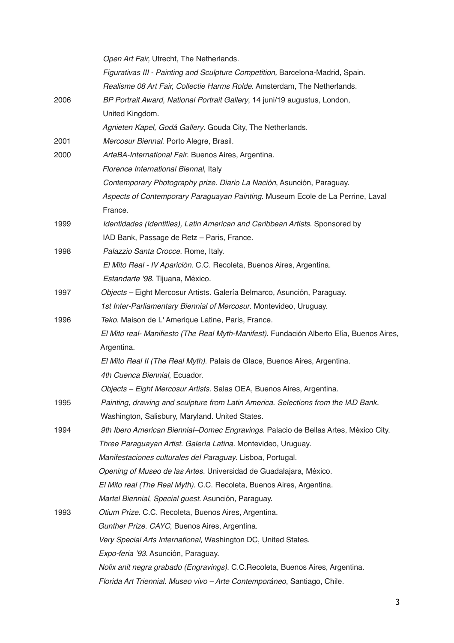|      | Open Art Fair, Utrecht, The Netherlands.                                                 |
|------|------------------------------------------------------------------------------------------|
|      | Figurativas III - Painting and Sculpture Competition, Barcelona-Madrid, Spain.           |
|      | Realisme 08 Art Fair, Collectie Harms Rolde. Amsterdam, The Netherlands.                 |
| 2006 | BP Portrait Award, National Portrait Gallery, 14 juni/19 augustus, London,               |
|      | United Kingdom.                                                                          |
|      | Agnieten Kapel, Godá Gallery. Gouda City, The Netherlands.                               |
| 2001 | Mercosur Biennal. Porto Alegre, Brasil.                                                  |
| 2000 | ArteBA-International Fair. Buenos Aires, Argentina.                                      |
|      | Florence International Biennal, Italy                                                    |
|      | Contemporary Photography prize. Diario La Nación, Asunción, Paraguay.                    |
|      | Aspects of Contemporary Paraguayan Painting. Museum Ecole de La Perrine, Laval           |
|      | France.                                                                                  |
| 1999 | Identidades (Identities), Latin American and Caribbean Artists. Sponsored by             |
|      | IAD Bank, Passage de Retz - Paris, France.                                               |
| 1998 | Palazzio Santa Crocce. Rome, Italy.                                                      |
|      | El Mito Real - IV Aparición. C.C. Recoleta, Buenos Aires, Argentina.                     |
|      | Estandarte '98. Tijuana, México.                                                         |
| 1997 | Objects - Eight Mercosur Artists. Galería Belmarco, Asunción, Paraguay.                  |
|      | 1st Inter-Parliamentary Biennial of Mercosur. Montevideo, Uruguay.                       |
| 1996 | Teko. Maison de L'Amerique Latine, Paris, France.                                        |
|      | El Mito real- Manifiesto (The Real Myth-Manifest). Fundación Alberto Elía, Buenos Aires, |
|      | Argentina.                                                                               |
|      | El Mito Real II (The Real Myth). Palais de Glace, Buenos Aires, Argentina.               |
|      | 4th Cuenca Biennial, Ecuador.                                                            |
|      | Objects - Eight Mercosur Artists. Salas OEA, Buenos Aires, Argentina.                    |
| 1995 | Painting, drawing and sculpture from Latin America. Selections from the IAD Bank.        |
|      | Washington, Salisbury, Maryland. United States.                                          |
| 1994 | 9th Ibero American Biennial–Domec Engravings. Palacio de Bellas Artes, México City.      |
|      | Three Paraguayan Artist. Galería Latina. Montevideo, Uruguay.                            |
|      | Manifestaciones culturales del Paraguay. Lisboa, Portugal.                               |
|      | Opening of Museo de las Artes. Universidad de Guadalajara, México.                       |
|      | El Mito real (The Real Myth). C.C. Recoleta, Buenos Aires, Argentina.                    |
|      | Martel Biennial, Special guest. Asunción, Paraguay.                                      |
| 1993 | Otium Prize. C.C. Recoleta, Buenos Aires, Argentina.                                     |
|      | Gunther Prize. CAYC, Buenos Aires, Argentina.                                            |
|      | Very Special Arts International, Washington DC, United States.                           |
|      | Expo-feria '93. Asunción, Paraguay.                                                      |
|      | Nolix anit negra grabado (Engravings). C.C.Recoleta, Buenos Aires, Argentina.            |
|      | Florida Art Triennial. Museo vivo - Arte Contemporáneo, Santiago, Chile.                 |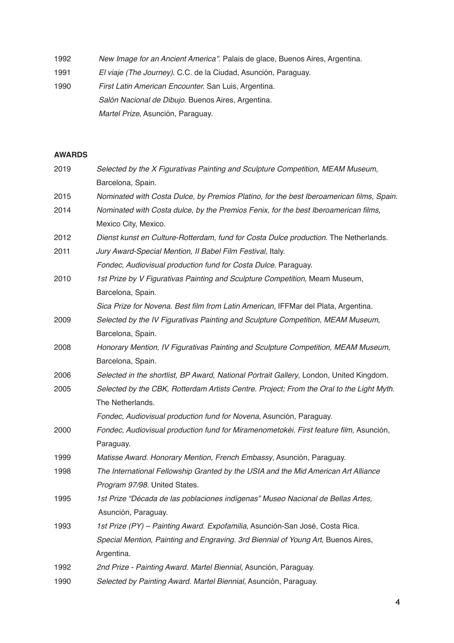1992 *New Image for an Ancient America''*. Palais de glace, Buenos Aires, Argentina.

1991 *El viaje (The Journey)*. C.C. de la Ciudad, Asunción, Paraguay.

1990 *First Latin American Encounter.* San Luis, Argentina. *Salón Nacional de Dibujo*. Buenos Aires, Argentina. *Martel Prize*, Asunción, Paraguay.

# **AWARDS**

| 2019 | Selected by the X Figurativas Painting and Sculpture Competition, MEAM Museum,           |
|------|------------------------------------------------------------------------------------------|
|      | Barcelona, Spain.                                                                        |
| 2015 | Nominated with Costa Dulce, by Premios Platino, for the best Iberoamerican films, Spain. |
| 2014 | Nominated with Costa dulce, by the Premios Fenix, for the best Iberoamerican films,      |
|      | Mexico City, Mexico.                                                                     |
| 2012 | Dienst kunst en Culture-Rotterdam, fund for Costa Dulce production. The Netherlands.     |
| 2011 | Jury Award-Special Mention, Il Babel Film Festival, Italy.                               |
|      | Fondec, Audiovisual production fund for Costa Dulce. Paraguay.                           |
| 2010 | 1st Prize by V Figurativas Painting and Sculpture Competition, Meam Museum,              |
|      | Barcelona, Spain.                                                                        |
|      | Sica Prize for Novena. Best film from Latin American, IFFMar del Plata, Argentina.       |
| 2009 | Selected by the IV Figurativas Painting and Sculpture Competition, MEAM Museum,          |
|      | Barcelona, Spain.                                                                        |
| 2008 | Honorary Mention, IV Figurativas Painting and Sculpture Competition, MEAM Museum,        |
|      | Barcelona, Spain.                                                                        |
| 2006 | Selected in the shortlist, BP Award, National Portrait Gallery, London, United Kingdom.  |
| 2005 | Selected by the CBK, Rotterdam Artists Centre. Project; From the Oral to the Light Myth. |
|      | The Netherlands.                                                                         |
|      | Fondec, Audiovisual production fund for Novena, Asunción, Paraguay.                      |
| 2000 | Fondec, Audiovisual production fund for Miramenometokéi. First feature film, Asunción,   |
|      | Paraguay.                                                                                |
| 1999 | Matisse Award. Honorary Mention, French Embassy, Asunción, Paraguay.                     |
| 1998 | The International Fellowship Granted by the USIA and the Mid American Art Alliance       |
|      | Program 97/98. United States.                                                            |
| 1995 | 1st Prize "Década de las poblaciones indígenas" Museo Nacional de Bellas Artes,          |
|      | Asunción, Paraguay.                                                                      |
| 1993 | 1st Prize (PY) - Painting Award. Expofamilia, Asunción-San José, Costa Rica.             |
|      | Special Mention, Painting and Engraving. 3rd Biennial of Young Art, Buenos Aires,        |
|      | Argentina.                                                                               |
| 1992 | 2nd Prize - Painting Award. Martel Biennial, Asunción, Paraguay.                         |
| 1990 | Selected by Painting Award. Martel Biennial, Asunción, Paraguay.                         |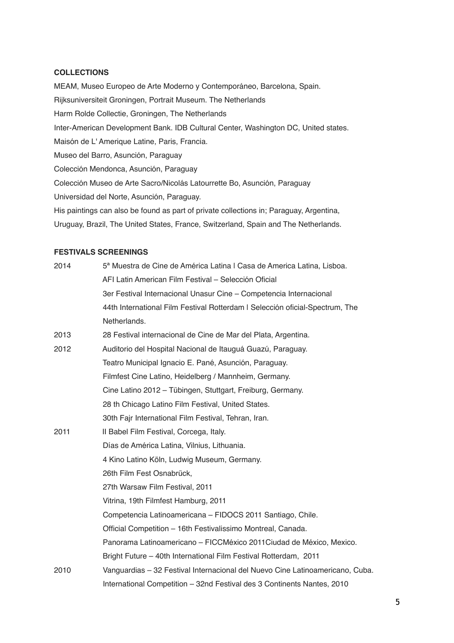# **COLLECTIONS**

MEAM, Museo Europeo de Arte Moderno y Contemporáneo, Barcelona, Spain. Rijksuniversiteit Groningen, Portrait Museum. The Netherlands Harm Rolde Collectie, Groningen, The Netherlands Inter-American Development Bank. IDB Cultural Center, Washington DC, United states. Maisón de L' Amerique Latine, Paris, Francia. Museo del Barro, Asunción, Paraguay Colección Mendonca, Asunción, Paraguay Colección Museo de Arte Sacro/Nicolás Latourrette Bo, Asunción, Paraguay Universidad del Norte, Asunción, Paraguay. His paintings can also be found as part of private collections in; Paraguay, Argentina, Uruguay, Brazil, The United States, France, Switzerland, Spain and The Netherlands.

#### **FESTIVALS SCREENINGS**

| 2014 | 5ª Muestra de Cine de América Latina I Casa de America Latina, Lisboa.        |
|------|-------------------------------------------------------------------------------|
|      | AFI Latin American Film Festival - Selección Oficial                          |
|      | 3er Festival Internacional Unasur Cine - Competencia Internacional            |
|      | 44th International Film Festival Rotterdam I Selección oficial-Spectrum, The  |
|      | Netherlands.                                                                  |
| 2013 | 28 Festival internacional de Cine de Mar del Plata, Argentina.                |
| 2012 | Auditorio del Hospital Nacional de Itauguá Guazú, Paraguay.                   |
|      | Teatro Municipal Ignacio E. Pané, Asunción, Paraguay.                         |
|      | Filmfest Cine Latino, Heidelberg / Mannheim, Germany.                         |
|      | Cine Latino 2012 - Tübingen, Stuttgart, Freiburg, Germany.                    |
|      | 28 th Chicago Latino Film Festival, United States.                            |
|      | 30th Fajr International Film Festival, Tehran, Iran.                          |
| 2011 | II Babel Film Festival, Corcega, Italy.                                       |
|      | Días de América Latina, Vilnius, Lithuania.                                   |
|      | 4 Kino Latino Köln, Ludwig Museum, Germany.                                   |
|      | 26th Film Fest Osnabrück,                                                     |
|      | 27th Warsaw Film Festival, 2011                                               |
|      | Vitrina, 19th Filmfest Hamburg, 2011                                          |
|      | Competencia Latinoamericana - FIDOCS 2011 Santiago, Chile.                    |
|      | Official Competition - 16th Festivalissimo Montreal, Canada.                  |
|      | Panorama Latinoamericano - FICCMéxico 2011 Ciudad de México, Mexico.          |
|      | Bright Future - 40th International Film Festival Rotterdam, 2011              |
| 2010 | Vanguardias - 32 Festival Internacional del Nuevo Cine Latinoamericano, Cuba. |
|      | International Competition - 32nd Festival des 3 Continents Nantes, 2010       |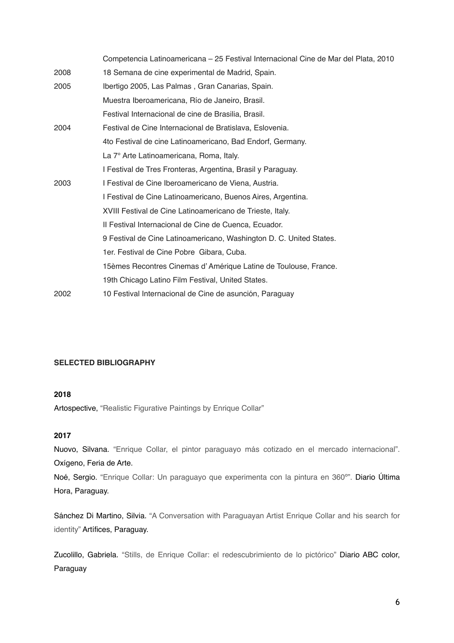|      | Competencia Latinoamericana - 25 Festival Internacional Cine de Mar del Plata, 2010 |
|------|-------------------------------------------------------------------------------------|
| 2008 | 18 Semana de cine experimental de Madrid, Spain.                                    |
| 2005 | Ibertigo 2005, Las Palmas, Gran Canarias, Spain.                                    |
|      | Muestra Iberoamericana, Río de Janeiro, Brasil.                                     |
|      | Festival Internacional de cine de Brasilia, Brasil.                                 |
| 2004 | Festival de Cine Internacional de Bratislava, Eslovenia.                            |
|      | 4to Festival de cine Latinoamericano, Bad Endorf, Germany.                          |
|      | La 7° Arte Latinoamericana, Roma, Italy.                                            |
|      | I Festival de Tres Fronteras, Argentina, Brasil y Paraguay.                         |
| 2003 | I Festival de Cine Iberoamericano de Viena, Austria.                                |
|      | I Festival de Cine Latinoamericano, Buenos Aires, Argentina.                        |
|      | XVIII Festival de Cine Latinoamericano de Trieste, Italy.                           |
|      | Il Festival Internacional de Cine de Cuenca, Ecuador.                               |
|      | 9 Festival de Cine Latinoamericano, Washington D. C. United States.                 |
|      | 1er. Festival de Cine Pobre Gibara, Cuba.                                           |
|      | 15èmes Recontres Cinemas d'Amérique Latine de Toulouse, France.                     |
|      | 19th Chicago Latino Film Festival, United States.                                   |
| 2002 | 10 Festival Internacional de Cine de asunción, Paraguay                             |

### **SELECTED BIBLIOGRAPHY**

### **2018**

Artospective, ["Realistic Figurative Paintings by Enrique Collar"](https://artospective.blogspot.com/)

### **2017**

Nuovo, Silvana. ["Enrique Collar, el pintor paraguayo más cotizado en el mercado internacional".](https://www.oxigenoferiadearte.com/arte-latinoamericano/enrique-collar-pintor) Oxígeno, Feria de Arte.

Noé, Sergio. ["Enrique Collar: Un paraguayo que experimenta con la pintura en 360º".](https://www.ultimahora.com/enrique-collar-un-paraguayo-que-experimenta-la-pintura-360-n1073233.html) Diario Última Hora, Paraguay.

Sánchez Di Martino, Silvia. ["A Conversation with Paraguayan Artist Enrique Collar and his search for](https://es.scribd.com/article/359195423/A-Conversation-With-Paraguayan-Artist-Enrique-Collar-And-His-Search-For-Identity) [identity"](https://es.scribd.com/article/359195423/A-Conversation-With-Paraguayan-Artist-Enrique-Collar-And-His-Search-For-Identity) Artífices, Paraguay.

Zucolillo, Gabriela. ["Stills, de Enrique Collar: el redescubrimiento de lo pictórico"](https://www.abc.com.py/edicion-impresa/suplementos/cultural/stills-de-enrique-collar-el-redescubrimiento-de-lo-pictorico-1561942.html) Diario ABC color, Paraguay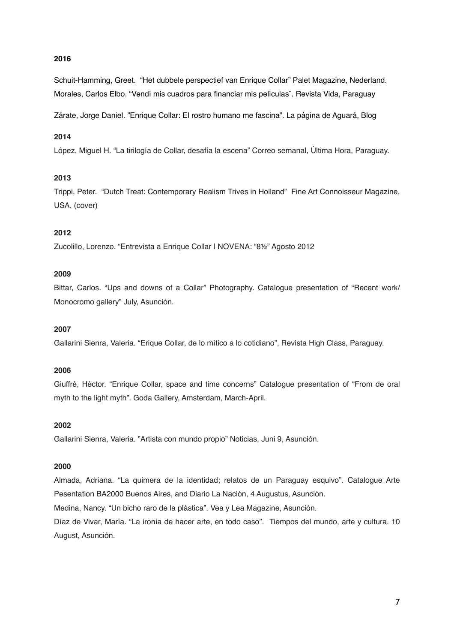# **2016**

Schuit-Hamming, Greet. "Het dubbele perspectief van Enrique Collar" Palet Magazine, Nederland. Morales, Carlos Elbo. "Vendí mis cuadros para financiar mis películas¨. Revista Vida, Paraguay

Zárate, Jorge Daniel. "Enrique Collar: El rostro humano me fascina". La página de Aguará, Blog

#### **2014**

López, Miguel H. "La tirilogía de Collar, desafía la escena" Correo semanal, Última Hora, Paraguay.

#### **2013**

Trippi, Peter. "Dutch Treat: Contemporary Realism Trives in Holland" Fine Art Connoisseur Magazine, USA. (cover)

#### **2012**

Zucolillo, Lorenzo. "Entrevista a Enrique Collar | NOVENA: "8½" Agosto 2012

#### **2009**

Bittar, Carlos. "Ups and downs of a Collar" Photography. Catalogue presentation of "Recent work/ Monocromo gallery" July, Asunción.

### **2007**

Gallarini Sienra, Valeria. "Erique Collar, de lo mítico a lo cotidiano", Revista High Class, Paraguay.

#### **2006**

Giuffré, Héctor. "Enrique Collar, space and time concerns" Catalogue presentation of "From de oral myth to the light myth". Goda Gallery, Amsterdam, March-April.

# **2002**

Gallarini Sienra, Valeria. "Artista con mundo propio" Noticias, Juni 9, Asunción.

#### **2000**

Almada, Adriana. "La quimera de la identidad; relatos de un Paraguay esquivo". Catalogue Arte Pesentation BA2000 Buenos Aires, and Diario La Nación, 4 Augustus, Asunción.

Medina, Nancy. "Un bicho raro de la plástica". Vea y Lea Magazine, Asunción.

Díaz de Vivar, María. "La ironía de hacer arte, en todo caso". Tiempos del mundo, arte y cultura. 10 August, Asunción.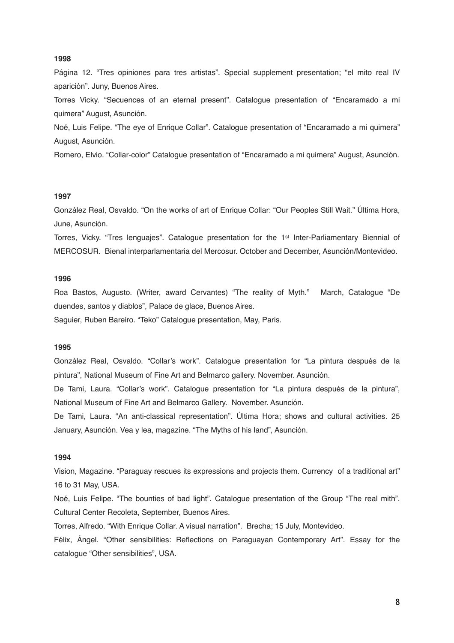#### **1998**

Página 12. "Tres opiniones para tres artistas". Special supplement presentation; "el mito real IV aparición". Juny, Buenos Aires.

Torres Vicky. "Secuences of an eternal present". Catalogue presentation of "Encaramado a mi quimera" August, Asunción.

Noé, Luis Felipe. "The eye of Enrique Collar". Catalogue presentation of "Encaramado a mi quimera" August, Asunción.

Romero, Elvio. "Collar-color" Catalogue presentation of "Encaramado a mi quimera" August, Asunción.

### **1997**

González Real, Osvaldo. "On the works of art of Enrique Collar: "Our Peoples Still Wait." Última Hora, June, Asunción.

Torres, Vicky. "Tres lenguajes". Catalogue presentation for the 1st Inter-Parliamentary Biennial of MERCOSUR. Bienal interparlamentaria del Mercosur. October and December, Asunción/Montevideo.

#### **1996**

Roa Bastos, Augusto. (Writer, award Cervantes) "The reality of Myth." March, Catalogue "De duendes, santos y diablos", Palace de glace, Buenos Aires.

Saguier, Ruben Bareiro. "Teko" Catalogue presentation, May, Paris.

### **1995**

González Real, Osvaldo. "Collar's work". Catalogue presentation for "La pintura después de la pintura", National Museum of Fine Art and Belmarco gallery. November. Asunción.

De Tami, Laura. "Collar's work". Catalogue presentation for "La pintura después de la pintura", National Museum of Fine Art and Belmarco Gallery. November. Asunción.

De Tami, Laura. "An anti-classical representation". Última Hora; shows and cultural activities. 25 January, Asunción. Vea y lea, magazine. "The Myths of his land", Asunción.

### **1994**

Vision, Magazine. "Paraguay rescues its expressions and projects them. Currency of a traditional art" 16 to 31 May, USA.

Noé, Luis Felipe. "The bounties of bad light". Catalogue presentation of the Group "The real mith". Cultural Center Recoleta, September, Buenos Aires.

Torres, Alfredo. "With Enrique Collar. A visual narration". Brecha; 15 July, Montevideo.

Félix, Ángel. "Other sensibilities: Reflections on Paraguayan Contemporary Art". Essay for the catalogue "Other sensibilities", USA.